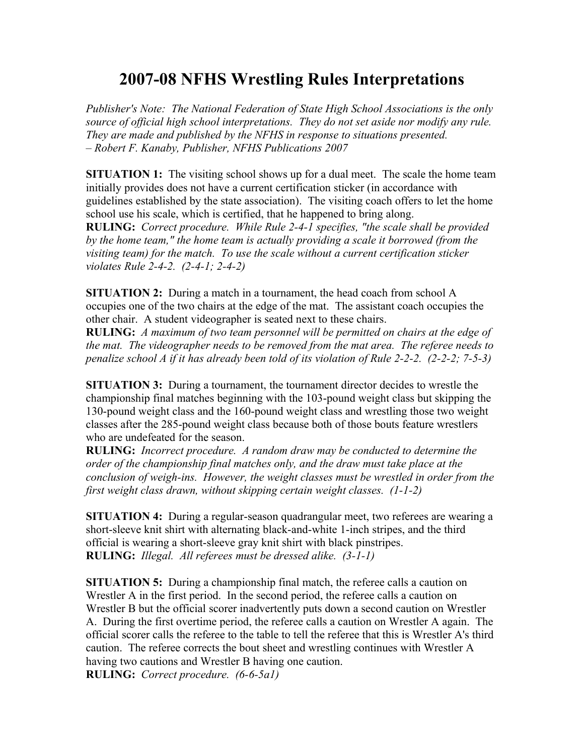## **2007-08 NFHS Wrestling Rules Interpretations**

*Publisher's Note: The National Federation of State High School Associations is the only source of official high school interpretations. They do not set aside nor modify any rule. They are made and published by the NFHS in response to situations presented. – Robert F. Kanaby, Publisher, NFHS Publications 2007*

**SITUATION 1:** The visiting school shows up for a dual meet. The scale the home team initially provides does not have a current certification sticker (in accordance with guidelines established by the state association). The visiting coach offers to let the home school use his scale, which is certified, that he happened to bring along.

**RULING:** *Correct procedure. While Rule 2-4-1 specifies, "the scale shall be provided by the home team," the home team is actually providing a scale it borrowed (from the visiting team) for the match. To use the scale without a current certification sticker violates Rule 2-4-2. (2-4-1; 2-4-2)*

**SITUATION 2:** During a match in a tournament, the head coach from school A occupies one of the two chairs at the edge of the mat. The assistant coach occupies the other chair. A student videographer is seated next to these chairs.

**RULING:** *A maximum of two team personnel will be permitted on chairs at the edge of the mat. The videographer needs to be removed from the mat area. The referee needs to penalize school A if it has already been told of its violation of Rule 2-2-2. (2-2-2; 7-5-3)*

**SITUATION 3:** During a tournament, the tournament director decides to wrestle the championship final matches beginning with the 103-pound weight class but skipping the 130-pound weight class and the 160-pound weight class and wrestling those two weight classes after the 285-pound weight class because both of those bouts feature wrestlers who are undefeated for the season.

**RULING:** *Incorrect procedure. A random draw may be conducted to determine the order of the championship final matches only, and the draw must take place at the conclusion of weigh-ins. However, the weight classes must be wrestled in order from the first weight class drawn, without skipping certain weight classes. (1-1-2)*

**SITUATION 4:** During a regular-season quadrangular meet, two referees are wearing a short-sleeve knit shirt with alternating black-and-white 1-inch stripes, and the third official is wearing a short-sleeve gray knit shirt with black pinstripes. **RULING:** *Illegal. All referees must be dressed alike. (3-1-1)*

**SITUATION 5:** During a championship final match, the referee calls a caution on Wrestler A in the first period. In the second period, the referee calls a caution on Wrestler B but the official scorer inadvertently puts down a second caution on Wrestler A. During the first overtime period, the referee calls a caution on Wrestler A again. The official scorer calls the referee to the table to tell the referee that this is Wrestler A's third caution. The referee corrects the bout sheet and wrestling continues with Wrestler A having two cautions and Wrestler B having one caution. **RULING:** *Correct procedure. (6-6-5a1)*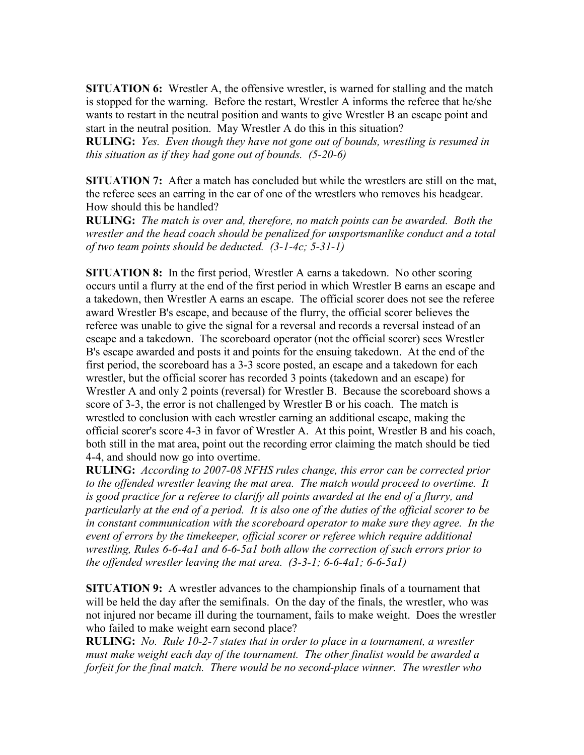**SITUATION 6:** Wrestler A, the offensive wrestler, is warned for stalling and the match is stopped for the warning. Before the restart, Wrestler A informs the referee that he/she wants to restart in the neutral position and wants to give Wrestler B an escape point and start in the neutral position. May Wrestler A do this in this situation?

**RULING:** *Yes. Even though they have not gone out of bounds, wrestling is resumed in this situation as if they had gone out of bounds. (5-20-6)*

**SITUATION 7:** After a match has concluded but while the wrestlers are still on the mat, the referee sees an earring in the ear of one of the wrestlers who removes his headgear. How should this be handled?

**RULING:** *The match is over and, therefore, no match points can be awarded. Both the wrestler and the head coach should be penalized for unsportsmanlike conduct and a total of two team points should be deducted. (3-1-4c; 5-31-1)*

**SITUATION 8:** In the first period, Wrestler A earns a takedown. No other scoring occurs until a flurry at the end of the first period in which Wrestler B earns an escape and a takedown, then Wrestler A earns an escape. The official scorer does not see the referee award Wrestler B's escape, and because of the flurry, the official scorer believes the referee was unable to give the signal for a reversal and records a reversal instead of an escape and a takedown. The scoreboard operator (not the official scorer) sees Wrestler B's escape awarded and posts it and points for the ensuing takedown. At the end of the first period, the scoreboard has a 3-3 score posted, an escape and a takedown for each wrestler, but the official scorer has recorded 3 points (takedown and an escape) for Wrestler A and only 2 points (reversal) for Wrestler B. Because the scoreboard shows a score of 3-3, the error is not challenged by Wrestler B or his coach. The match is wrestled to conclusion with each wrestler earning an additional escape, making the official scorer's score 4-3 in favor of Wrestler A. At this point, Wrestler B and his coach, both still in the mat area, point out the recording error claiming the match should be tied 4-4, and should now go into overtime.

**RULING:** *According to 2007-08 NFHS rules change, this error can be corrected prior to the offended wrestler leaving the mat area. The match would proceed to overtime. It is good practice for a referee to clarify all points awarded at the end of a flurry, and particularly at the end of a period. It is also one of the duties of the official scorer to be in constant communication with the scoreboard operator to make sure they agree. In the event of errors by the timekeeper, official scorer or referee which require additional wrestling, Rules 6-6-4a1 and 6-6-5a1 both allow the correction of such errors prior to the offended wrestler leaving the mat area. (3-3-1; 6-6-4a1; 6-6-5a1)*

**SITUATION 9:** A wrestler advances to the championship finals of a tournament that will be held the day after the semifinals. On the day of the finals, the wrestler, who was not injured nor became ill during the tournament, fails to make weight. Does the wrestler who failed to make weight earn second place?

**RULING:** *No. Rule 10-2-7 states that in order to place in a tournament, a wrestler must make weight each day of the tournament. The other finalist would be awarded a forfeit for the final match. There would be no second-place winner. The wrestler who*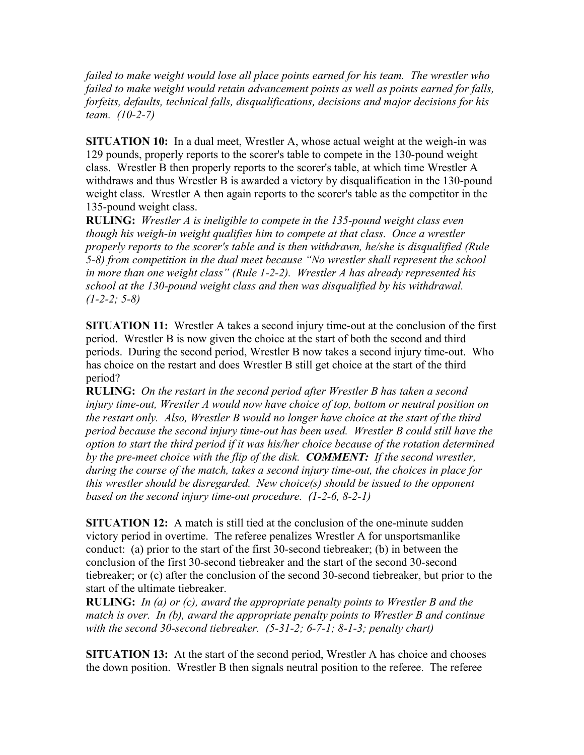*failed to make weight would lose all place points earned for his team. The wrestler who failed to make weight would retain advancement points as well as points earned for falls, forfeits, defaults, technical falls, disqualifications, decisions and major decisions for his team. (10-2-7)*

**SITUATION 10:** In a dual meet, Wrestler A, whose actual weight at the weigh-in was 129 pounds, properly reports to the scorer's table to compete in the 130-pound weight class. Wrestler B then properly reports to the scorer's table, at which time Wrestler A withdraws and thus Wrestler B is awarded a victory by disqualification in the 130-pound weight class. Wrestler A then again reports to the scorer's table as the competitor in the 135-pound weight class.

**RULING:** *Wrestler A is ineligible to compete in the 135-pound weight class even though his weigh-in weight qualifies him to compete at that class. Once a wrestler properly reports to the scorer's table and is then withdrawn, he/she is disqualified (Rule 5-8) from competition in the dual meet because "No wrestler shall represent the school in more than one weight class" (Rule 1-2-2). Wrestler A has already represented his school at the 130-pound weight class and then was disqualified by his withdrawal. (1-2-2; 5-8)*

**SITUATION 11:** Wrestler A takes a second injury time-out at the conclusion of the first period. Wrestler B is now given the choice at the start of both the second and third periods. During the second period, Wrestler B now takes a second injury time-out. Who has choice on the restart and does Wrestler B still get choice at the start of the third period?

**RULING:** *On the restart in the second period after Wrestler B has taken a second injury time-out, Wrestler A would now have choice of top, bottom or neutral position on the restart only. Also, Wrestler B would no longer have choice at the start of the third period because the second injury time-out has been used. Wrestler B could still have the option to start the third period if it was his/her choice because of the rotation determined by the pre-meet choice with the flip of the disk. COMMENT: If the second wrestler, during the course of the match, takes a second injury time-out, the choices in place for this wrestler should be disregarded. New choice(s) should be issued to the opponent based on the second injury time-out procedure. (1-2-6, 8-2-1)*

**SITUATION 12:** A match is still tied at the conclusion of the one-minute sudden victory period in overtime. The referee penalizes Wrestler A for unsportsmanlike conduct: (a) prior to the start of the first 30-second tiebreaker; (b) in between the conclusion of the first 30-second tiebreaker and the start of the second 30-second tiebreaker; or (c) after the conclusion of the second 30-second tiebreaker, but prior to the start of the ultimate tiebreaker.

**RULING:** *In (a) or (c), award the appropriate penalty points to Wrestler B and the match is over. In (b), award the appropriate penalty points to Wrestler B and continue with the second 30-second tiebreaker. (5-31-2; 6-7-1; 8-1-3; penalty chart)*

**SITUATION 13:** At the start of the second period, Wrestler A has choice and chooses the down position. Wrestler B then signals neutral position to the referee. The referee